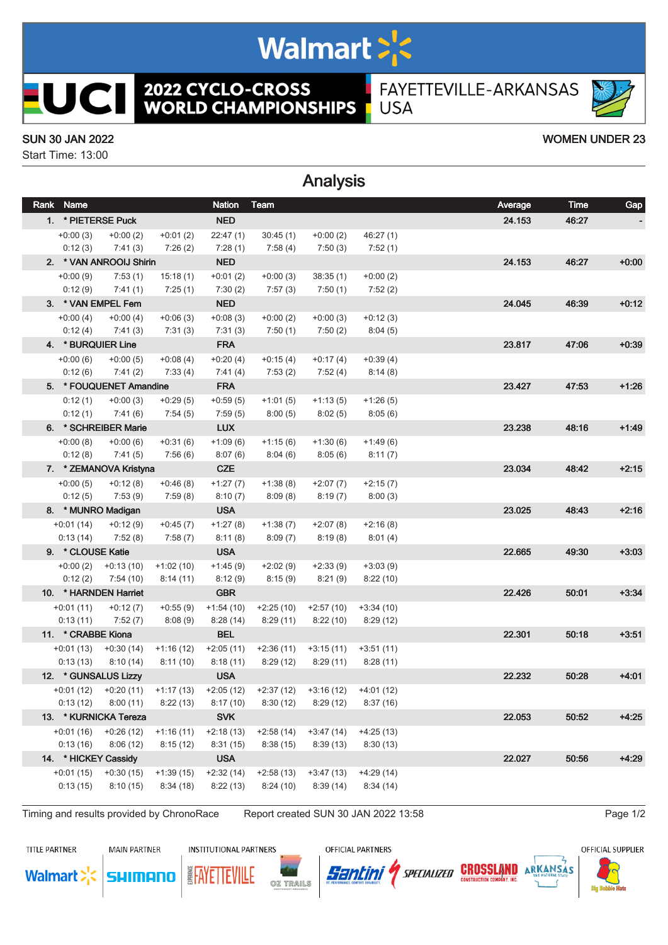# Walmart >'s

**2022 CYCLO-CROSS<br>WORLD CHAMPIONSHIPS** 

Analysis

FAYETTEVILLE-ARKANSAS **USA** 

#### SUN 30 JAN 2022 WOMEN UNDER 23

**UCII** 

Start Time: 13:00

| Rank | Name               |                         |             | <b>Nation</b> | Team                                |             |             | Average | <b>Time</b> | Gap     |
|------|--------------------|-------------------------|-------------|---------------|-------------------------------------|-------------|-------------|---------|-------------|---------|
|      |                    | 1. * PIETERSE Puck      |             | <b>NED</b>    |                                     |             |             | 24.153  | 46:27       |         |
|      | $+0:00(3)$         | $+0:00(2)$              | $+0:01(2)$  | 22:47(1)      | 30:45(1)                            | $+0:00(2)$  | 46:27(1)    |         |             |         |
|      | 0:12(3)            | 7:41(3)                 | 7:26(2)     | 7:28(1)       | 7:58 (4)                            | 7:50(3)     | 7:52(1)     |         |             |         |
|      |                    | 2. * VAN ANROOIJ Shirin |             | <b>NED</b>    |                                     |             |             | 24.153  | 46:27       | $+0:00$ |
|      | $+0:00(9)$         | 7:53(1)                 | 15:18(1)    | $+0:01(2)$    | $+0:00(3)$                          | 38:35(1)    | $+0:00(2)$  |         |             |         |
|      | 0:12(9)            | 7:41(1)                 | 7:25(1)     | 7:30(2)       | 7:57(3)                             | 7:50(1)     | 7:52(2)     |         |             |         |
|      |                    | 3. * VAN EMPEL Fem      |             | <b>NED</b>    |                                     |             |             | 24.045  | 46:39       | $+0:12$ |
|      | $+0:00(4)$         | $+0:00(4)$              | $+0:06(3)$  | $+0:08(3)$    | $+0:00(2)$                          | $+0:00(3)$  | $+0:12(3)$  |         |             |         |
|      | 0:12(4)            | 7:41 (3)                | 7:31(3)     | 7:31(3)       | 7:50(1)                             | 7:50(2)     | 8:04(5)     |         |             |         |
|      |                    | 4. * BURQUIER Line      |             | <b>FRA</b>    |                                     |             |             | 23.817  | 47:06       | $+0:39$ |
|      | $+0:00(6)$         | $+0:00(5)$              | $+0.08(4)$  | $+0:20(4)$    | $+0:15(4)$                          | $+0:17(4)$  | $+0:39(4)$  |         |             |         |
|      | 0:12(6)            | 7:41(2)                 | 7:33(4)     | 7:41(4)       | 7:53(2)                             | 7:52(4)     | 8:14(8)     |         |             |         |
|      |                    | 5. * FOUQUENET Amandine |             | <b>FRA</b>    |                                     |             |             | 23.427  | 47:53       | $+1:26$ |
|      | 0:12(1)            | $+0:00(3)$              | $+0.29(5)$  | $+0.59(5)$    | $+1:01(5)$                          | $+1:13(5)$  | $+1:26(5)$  |         |             |         |
|      | 0:12(1)            | 7:41(6)                 | 7:54(5)     | 7:59(5)       | 8:00(5)                             | 8:02(5)     | 8:05(6)     |         |             |         |
|      |                    | 6. * SCHREIBER Marie    |             | <b>LUX</b>    |                                     |             |             | 23.238  | 48:16       | $+1:49$ |
|      | $+0:00(8)$         | $+0:00(6)$              | $+0:31(6)$  | $+1:09(6)$    | $+1:15(6)$                          | $+1:30(6)$  | $+1:49(6)$  |         |             |         |
|      | 0:12(8)            | 7:41(5)                 | 7:56(6)     | 8:07(6)       | 8:04(6)                             | 8:05(6)     | 8:11(7)     |         |             |         |
|      |                    | 7. * ZEMANOVA Kristyna  |             | <b>CZE</b>    |                                     |             |             | 23.034  | 48:42       | $+2:15$ |
|      | $+0:00(5)$         | $+0:12(8)$              | $+0.46(8)$  | $+1:27(7)$    | $+1:38(8)$                          | $+2:07(7)$  | $+2:15(7)$  |         |             |         |
|      | 0:12(5)            | 7:53(9)                 | 7:59(8)     | 8:10(7)       | 8:09(8)                             | 8:19(7)     | 8:00(3)     |         |             |         |
|      |                    | 8. * MUNRO Madigan      |             | <b>USA</b>    |                                     |             |             | 23.025  | 48:43       | $+2:16$ |
|      | $+0:01(14)$        | $+0:12(9)$              | $+0:45(7)$  | $+1:27(8)$    | $+1:38(7)$                          | $+2:07(8)$  | $+2:16(8)$  |         |             |         |
|      | 0:13(14)           | 7:52 (8)                | 7:58(7)     | 8:11(8)       | 8:09(7)                             | 8:19(8)     | 8:01(4)     |         |             |         |
|      | 9. * CLOUSE Katie  |                         |             | <b>USA</b>    |                                     |             |             | 22.665  | 49.30       | $+3:03$ |
|      | $+0:00(2)$         | $+0:13(10)$             | $+1:02(10)$ | $+1:45(9)$    | $+2:02(9)$                          | $+2:33(9)$  | $+3:03(9)$  |         |             |         |
|      | 0:12(2)            | 7:54 (10)               | 8:14(11)    | 8:12(9)       | 8:15(9)                             | 8:21(9)     | 8:22(10)    |         |             |         |
|      |                    | 10. * HARNDEN Harriet   |             | <b>GBR</b>    |                                     |             |             | 22.426  | 50:01       | $+3:34$ |
|      | $+0:01(11)$        | $+0:12(7)$              | $+0.55(9)$  | $+1:54(10)$   | $+2:25(10)$                         | $+2:57(10)$ | $+3:34(10)$ |         |             |         |
|      | 0:13(11)           | 7:52 (7)                | 8:08(9)     | 8:28(14)      | 8:29(11)                            | 8:22(10)    | 8:29(12)    |         |             |         |
|      | 11. * CRABBE Kiona |                         |             | <b>BEL</b>    |                                     |             |             | 22.301  | 50:18       | $+3:51$ |
|      |                    | $+0:01(13)$ $+0:30(14)$ | $+1:16(12)$ | $+2:05(11)$   | $+2:36(11)$                         | $+3:15(11)$ | $+3:51(11)$ |         |             |         |
|      | 0:13(13)           | 8:10(14)                | 8:11(10)    | 8:18(11)      | 8:29(12)                            | 8:29(11)    | 8:28(11)    |         |             |         |
|      |                    | 12. * GUNSALUS Lizzy    |             | <b>USA</b>    |                                     |             |             | 22.232  | 50:28       | $+4:01$ |
|      |                    | $+0.01(12)$ $+0.20(11)$ | $+1:17(13)$ |               | $+2:05(12)$ $+2:37(12)$ $+3:16(12)$ |             | +4:01 (12)  |         |             |         |
|      | 0:13(12)           | 8:00(11)                | 8:22(13)    | 8:17(10)      | 8:30(12)                            | 8:29(12)    | 8:37(16)    |         |             |         |
|      |                    | 13. * KURNICKA Tereza   |             | <b>SVK</b>    |                                     |             |             | 22.053  | 50:52       | $+4:25$ |
|      | $+0:01(16)$        | $+0.26(12)$             | $+1:16(11)$ | $+2:18(13)$   | $+2:58(14)$                         | $+3:47(14)$ | $+4:25(13)$ |         |             |         |
|      | 0:13(16)           | 8:06(12)                | 8:15(12)    | 8:31(15)      | 8:38(15)                            | 8:39(13)    | 8:30(13)    |         |             |         |
|      |                    | 14. * HICKEY Cassidy    |             | <b>USA</b>    |                                     |             |             | 22.027  | 50:56       | $+4:29$ |
|      | $+0:01(15)$        | $+0:30(15)$             | $+1:39(15)$ | $+2:32(14)$   | $+2:58(13)$                         | $+3:47(13)$ | $+4:29(14)$ |         |             |         |
|      | 0:13(15)           | 8:10(15)                | 8:34(18)    | 8:22(13)      | 8:24(10)                            | 8:39(14)    | 8:34(14)    |         |             |         |
|      |                    |                         |             |               |                                     |             |             |         |             |         |

Timing and results provided by ChronoRace Report created SUN 30 JAN 2022 13:58 Page 1/2

TITLE PARTNER

**Walmart** 

**MAIN PARTNER** 

**SHIMANO** 

**INSTITUTIONAL PARTNERS** 

OZ TRAILS

**EAYETTEVILLE** 

OFFICIAL PARTNERS

Santini